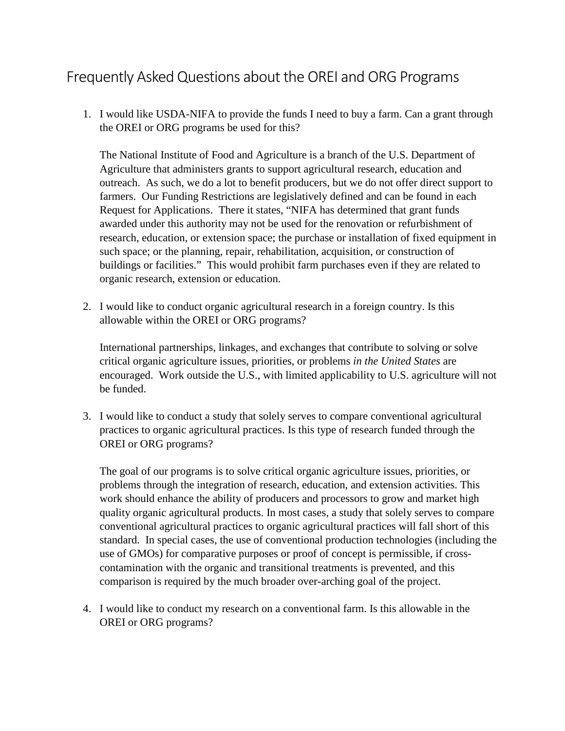## Frequently Asked Questions about the OREI and ORG Programs

1. I would like USDA-NIFA to provide the funds I need to buy a farm. Can a grant through the OREI or ORG programs be used for this?

The National Institute of Food and Agriculture is a branch of the U.S. Department of Agriculture that administers grants to support agricultural research, education and outreach. As such, we do a lot to benefit producers, but we do not offer direct support to farmers. Our Funding Restrictions are legislatively defined and can be found in each Request for Applications. There it states, "NIFA has determined that grant funds awarded under this authority may not be used for the renovation or refurbishment of research, education, or extension space; the purchase or installation of fixed equipment in such space; or the planning, repair, rehabilitation, acquisition, or construction of buildings or facilities." This would prohibit farm purchases even if they are related to organic research, extension or education.

2. I would like to conduct organic agricultural research in a foreign country. Is this allowable within the OREI or ORG programs?

International partnerships, linkages, and exchanges that contribute to solving or solve critical organic agriculture issues, priorities, or problems *in the United States* are encouraged. Work outside the U.S., with limited applicability to U.S. agriculture will not be funded.

3. I would like to conduct a study that solely serves to compare conventional agricultural practices to organic agricultural practices. Is this type of research funded through the OREI or ORG programs?

The goal of our programs is to solve critical organic agriculture issues, priorities, or problems through the integration of research, education, and extension activities. This work should enhance the ability of producers and processors to grow and market high quality organic agricultural products. In most cases, a study that solely serves to compare conventional agricultural practices to organic agricultural practices will fall short of this standard. In special cases, the use of conventional production technologies (including the use of GMOs) for comparative purposes or proof of concept is permissible, if crosscontamination with the organic and transitional treatments is prevented, and this comparison is required by the much broader over-arching goal of the project.

4. I would like to conduct my research on a conventional farm. Is this allowable in the OREI or ORG programs?